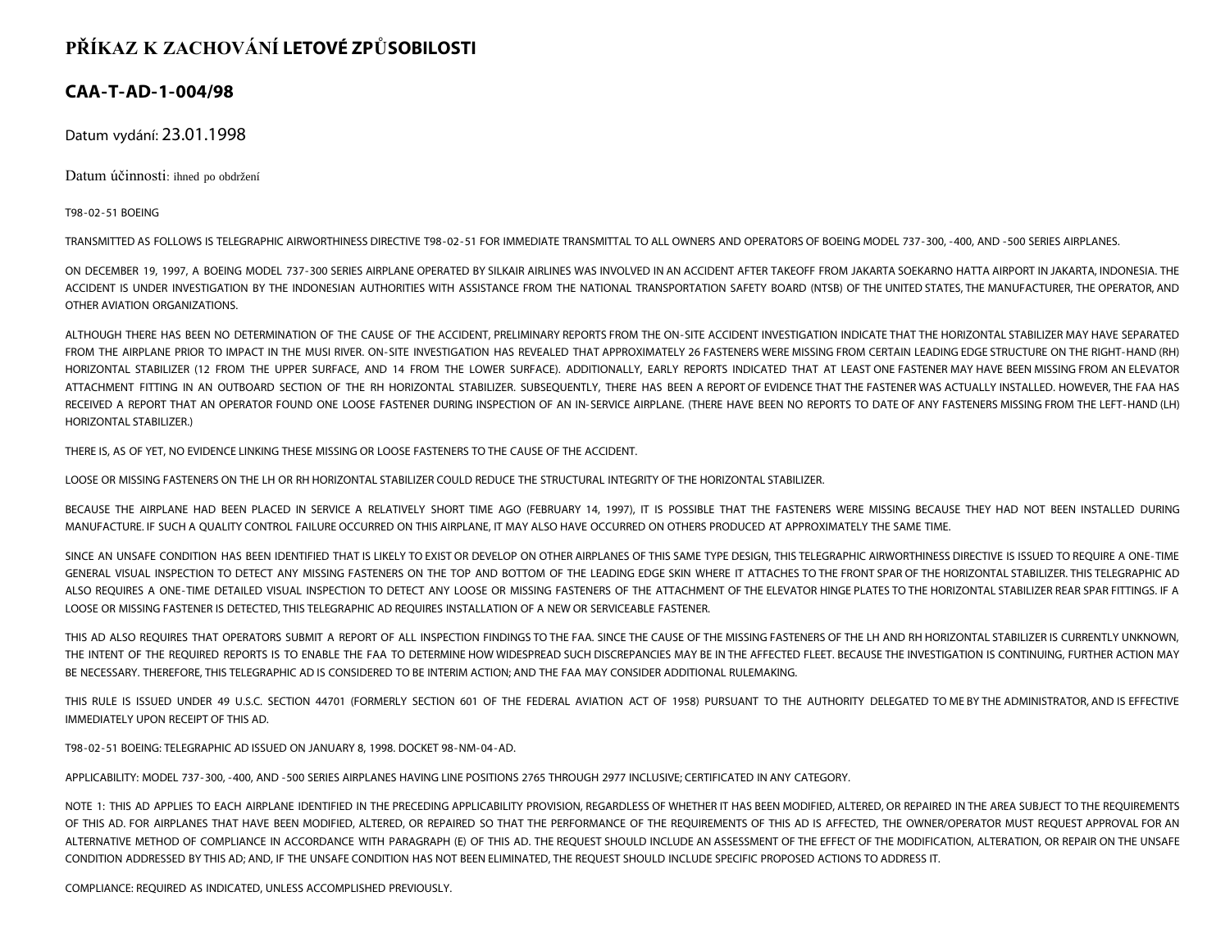## **PŘÍKAZ K ZACHOVÁNÍ LETOVÉ ZPŮSOBILOSTI**

## **CAA-T-AD-1-004/98**

Datum vydání: 23.01.1998

Datum účinnosti: ihned po obdržení

T98-02-51 BOEING

TRANSMITTED AS FOLLOWS IS TELEGRAPHIC AIRWORTHINESS DIRECTIVE T98-02-51 FOR IMMEDIATE TRANSMITTAL TO ALL OWNERS AND OPERATORS OF BOEING MODEL 737-300, -400, AND -500 SERIES AIRPLANES.

ON DECEMBER 19, 1997, A BOEING MODEL 737-300 SERIES AIRPLANE OPERATED BY SILKAIR AIRLINES WAS INVOLVED IN AN ACCIDENT AFTER TAKEOFF FROM JAKARTA SOEKARNO HATTA AIRPORT IN JAKARTA, INDONESIA. THE ACCIDENT IS UNDER INVESTIGATION BY THE INDONESIAN AUTHORITIES WITH ASSISTANCE FROM THE NATIONAL TRANSPORTATION SAFETY BOARD (NTSB) OF THE UNITED STATES, THE MANUFACTURER, THE OPERATOR, AND OTHER AVIATION ORGANIZATIONS.

ALTHOUGH THERE HAS BEEN NO DETERMINATION OF THE CAUSE OF THE ACCIDENT, PRELIMINARY REPORTS FROM THE ON-SITE ACCIDENT INVESTIGATION INDICATE THAT THE HORIZONTAL STABILIZER MAY HAVE SEPARATED FROM THE AIRPLANE PRIOR TO IMPACT IN THE MUSI RIVER. ON-SITE INVESTIGATION HAS REVEALED THAT APPROXIMATELY 26 FASTENERS WERE MISSING FROM CERTAIN LEADING EDGE STRUCTURE ON THE RIGHT-HAND (RH) HORIZONTAL STABILIZER (12 FROM THE UPPER SURFACE, AND 14 FROM THE LOWER SURFACE). ADDITIONALLY, EARLY REPORTS INDICATED THAT AT LEAST ONE FASTENER MAY HAVE BEEN MISSING FROM AN ELEVATOR ATTACHMENT FITTING IN AN OUTBOARD SECTION OF THE RH HORIZONTAL STABILIZER. SUBSEQUENTLY, THERE HAS BEEN A REPORT OF EVIDENCE THAT THE FASTENER WAS ACTUALLY INSTALLED. HOWEVER, THE FAA HAS RECEIVED A REPORT THAT AN OPERATOR FOUND ONE LOOSE FASTENER DURING INSPECTION OF AN IN-SERVICE AIRPLANE. (THERE HAVE BEEN NO REPORTS TO DATE OF ANY FASTENERS MISSING FROM THE LEFT-HAND (LH) HORIZONTAL STABILIZER.)

THERE IS, AS OF YET, NO EVIDENCE LINKING THESE MISSING OR LOOSE FASTENERS TO THE CAUSE OF THE ACCIDENT.

LOOSE OR MISSING FASTENERS ON THE LH OR RH HORIZONTAL STABILIZER COULD REDUCE THE STRUCTURAL INTEGRITY OF THE HORIZONTAL STABILIZER.

BECAUSE THE AIRPLANE HAD BEEN PLACED IN SERVICE A RELATIVELY SHORT TIME AGO (FEBRUARY 14, 1997), IT IS POSSIBLE THAT THE FASTENERS WERE MISSING BECAUSE THEY HAD NOT BEEN INSTALLED DURING MANUFACTURE. IF SUCH A QUALITY CONTROL FAILURE OCCURRED ON THIS AIRPLANE, IT MAY ALSO HAVE OCCURRED ON OTHERS PRODUCED AT APPROXIMATELY THE SAME TIME.

SINCE AN UNSAFE CONDITION HAS BEEN IDENTIFIED THAT IS LIKELY TO EXIST OR DEVELOP ON OTHER AIRPLANES OF THIS SAME TYPE DESIGN, THIS TELEGRAPHIC AIRWORTHINESS DIRECTIVE IS ISSUED TO REQUIRE A ONE-TIME GENERAL VISUAL INSPECTION TO DETECT ANY MISSING FASTENERS ON THE TOP AND BOTTOM OF THE LEADING EDGE SKIN WHERE IT ATTACHES TO THE FRONT SPAR OF THE HORIZONTAL STABILIZER. THIS TELEGRAPHIC AD ALSO REQUIRES A ONE-TIME DETAILED VISUAL INSPECTION TO DETECT ANY LOOSE OR MISSING FASTENERS OF THE ATTACHMENT OF THE ELEVATOR HINGE PLATES TO THE HORIZONTAL STABILIZER REAR SPAR FITTINGS. IF A LOOSE OR MISSING FASTENER IS DETECTED, THIS TELEGRAPHIC AD REQUIRES INSTALLATION OF A NEW OR SERVICEABLE FASTENER.

THIS AD ALSO REQUIRES THAT OPERATORS SUBMIT A REPORT OF ALL INSPECTION FINDINGS TO THE FAA. SINCE THE CAUSE OF THE MISSING FASTENERS OF THE LH AND RH HORIZONTAL STABILIZER IS CURRENTLY UNKNOWN, THE INTENT OF THE REQUIRED REPORTS IS TO ENABLE THE FAA TO DETERMINE HOW WIDESPREAD SUCH DISCREPANCIES MAY BE IN THE AFFECTED FLEET. BECAUSE THE INVESTIGATION IS CONTINUING, FURTHER ACTION MAY BE NECESSARY. THEREFORE, THIS TELEGRAPHIC AD IS CONSIDERED TO BE INTERIM ACTION; AND THE FAA MAY CONSIDER ADDITIONAL RULEMAKING.

THIS RULE IS ISSUED UNDER 49 U.S.C. SECTION 44701 (FORMERLY SECTION 601 OF THE FEDERAL AVIATION ACT OF 1958) PURSUANT TO THE AUTHORITY DELEGATED TO ME BY THE ADMINISTRATOR, AND IS EFFECTIVE IMMEDIATELY UPON RECEIPT OF THIS AD.

T98-02-51 BOEING: TELEGRAPHIC AD ISSUED ON JANUARY 8, 1998. DOCKET 98-NM-04-AD.

APPLICABILITY: MODEL 737-300, -400, AND -500 SERIES AIRPLANES HAVING LINE POSITIONS 2765 THROUGH 2977 INCLUSIVE; CERTIFICATED IN ANY CATEGORY.

NOTE 1: THIS AD APPLIES TO EACH AIRPLANE IDENTIFIED IN THE PRECEDING APPLICABILITY PROVISION, REGARDLESS OF WHETHER IT HAS BEEN MODIFIED, ALTERED, OR REPAIRED IN THE AREA SUBJECT TO THE REQUIREMENTS OF THIS AD. FOR AIRPLANES THAT HAVE BEEN MODIFIED, ALTERED, OR REPAIRED SO THAT THE PERFORMANCE OF THE REOUIREMENTS OF THIS AD IS AFFECTED, THE OWNER/OPERATOR MUST REOUEST APPROVAL FOR AN ALTERNATIVE METHOD OF COMPLIANCE IN ACCORDANCE WITH PARAGRAPH (E) OF THIS AD. THE REQUEST SHOULD INCLUDE AN ASSESSMENT OF THE EFFECT OF THE MODIFICATION, ALTERATION, OR REPAIR ON THE UNSAFE CONDITION ADDRESSED BY THIS AD; AND, IF THE UNSAFE CONDITION HAS NOT BEEN ELIMINATED, THE REQUEST SHOULD INCLUDE SPECIFIC PROPOSED ACTIONS TO ADDRESS IT.

COMPLIANCE: REQUIRED AS INDICATED, UNLESS ACCOMPLISHED PREVIOUSLY.